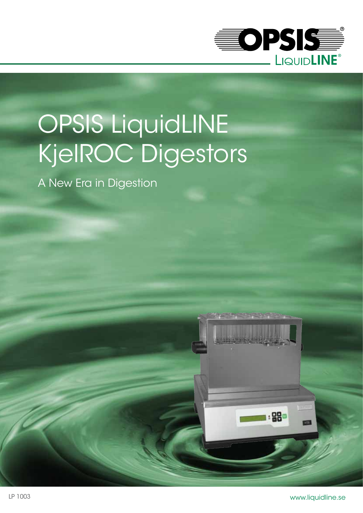

# OPSIS LiquidLINE KjelROC Digestors

A New Era in Digestion



 $1:88$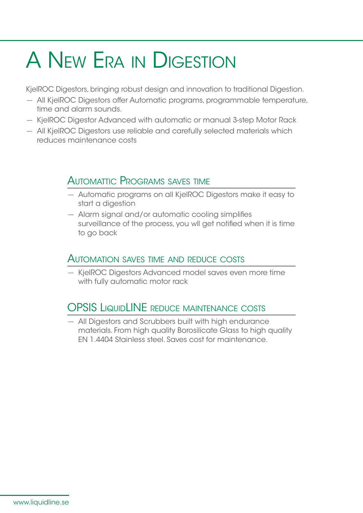### A New Era in Digestion

KjelROC Digestors, bringing robust design and innovation to traditional Digestion.

- All KjelROC Digestors offer Automatic programs, programmable temperature, time and alarm sounds.
- KjelROC Digestor Advanced with automatic or manual 3-step Motor Rack
- All KjelROC Digestors use reliable and carefully selected materials which reduces maintenance costs

#### Automattic Programs saves time

- Automatic programs on all KjelROC Digestors make it easy to start a diaestion
- Alarm signal and/or automatic cooling simplifies surveillance of the process, you wll get notified when it is time to go back

#### Automation saves time and reduce costs

— KjelROC Digestors Advanced model saves even more time with fully automatic motor rack

### OPSIS LIQUIDLINE REDUCE MAINTENANCE COSTS

— All Digestors and Scrubbers built with high endurance materials. From high quality Borosilicate Glass to high quality EN 1.4404 Stainless steel. Saves cost for maintenance.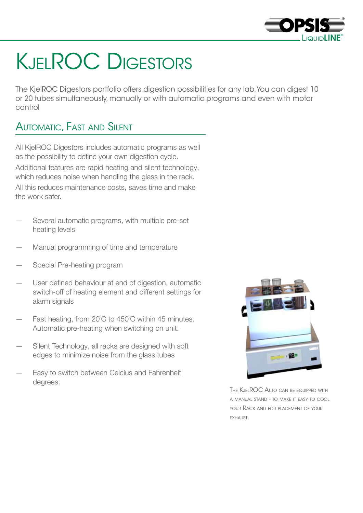

## **KJELROC DIGESTORS**

The KjelROC Digestors portfolio offers digestion possibilities for any lab. You can digest 10 or 20 tubes simultaneously, manually or with automatic programs and even with motor control

#### Automatic, Fast and Silent

All KjelROC Digestors includes automatic programs as well as the possibility to define your own digestion cycle. Additional features are rapid heating and silent technology, which reduces noise when handling the glass in the rack.

All this reduces maintenance costs, saves time and make the work safer.

- Several automatic programs, with multiple pre-set heating levels
- Manual programming of time and temperature
- Special Pre-heating program
- User defined behaviour at end of digestion, automatic switch-off of heating element and different settings for alarm signals
- Fast heating, from 20°C to 450°C within 45 minutes. Automatic pre-heating when switching on unit.
- Silent Technology, all racks are designed with soft edges to minimize noise from the glass tubes
- Easy to switch between Celcius and Fahrenheit degrees.



THE KJELROC AUTO CAN BE EQUIPPED WITH <sup>a</sup> manual stand - to make it easy to cool your Rack and for placement of your exhaust.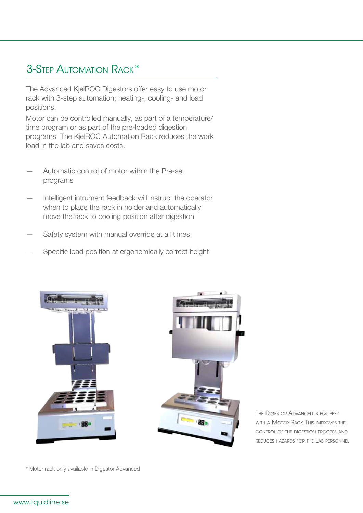### 3-Step Automation Rack\*

The Advanced KjelROC Digestors offer easy to use motor rack with 3-step automation; heating-, cooling- and load positions.

Motor can be controlled manually, as part of a temperature/ time program or as part of the pre-loaded digestion programs. The KjelROC Automation Rack reduces the work load in the lab and saves costs.

- Automatic control of motor within the Pre-set programs
- Intelligent intrument feedback will instruct the operator when to place the rack in holder and automatically move the rack to cooling position after digestion
- Safety system with manual override at all times
- Specific load position at ergonomically correct height





THE DIGESTOR ADVANCED IS EQUIPPED with <sup>a</sup> Motor Rack. This improves the control of the digestion process and reduces hazards for the Lab personnel.

\* Motor rack only available in Digestor Advanced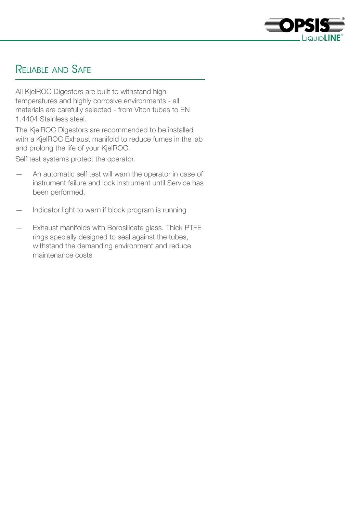

#### Reliable and Safe

All KjelROC Digestors are built to withstand high temperatures and highly corrosive environments - all materials are carefully selected - from Viton tubes to EN 1.4404 Stainless steel.

The KjelROC Digestors are recommended to be installed with a KjelROC Exhaust manifold to reduce fumes in the lab and prolong the life of your KjelROC.

Self test systems protect the operator.

- An automatic self test will warn the operator in case of instrument failure and lock instrument until Service has been performed.
- Indicator light to warn if block program is running
- Exhaust manifolds with Borosilicate glass. Thick PTFE rings specially designed to seal against the tubes, withstand the demanding environment and reduce maintenance costs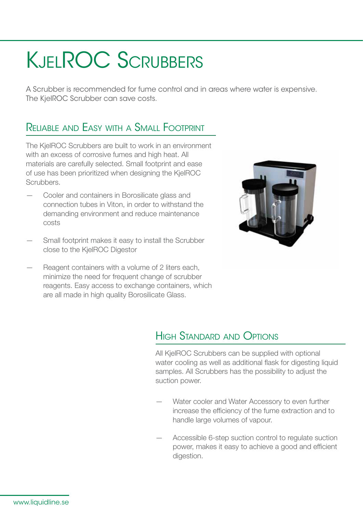## KjelROC Scrubbers

A Scrubber is recommended for fume control and in areas where water is expensive. The KjelROC Scrubber can save costs.

#### Reliable and Easy with <sup>a</sup> Small Footprint

The KielROC Scrubbers are built to work in an environment with an excess of corrosive fumes and high heat. All materials are carefully selected. Small footprint and ease of use has been prioritized when designing the KjelROC Scrubbers.

- Cooler and containers in Borosilicate glass and connection tubes in Viton, in order to withstand the demanding environment and reduce maintenance costs
- Small footprint makes it easy to install the Scrubber close to the KjelROC Digestor
- Reagent containers with a volume of 2 liters each, minimize the need for frequent change of scrubber reagents. Easy access to exchange containers, which are all made in high quality Borosilicate Glass.



#### High Standard and Options

All KjelROC Scrubbers can be supplied with optional water cooling as well as additional flask for digesting liquid samples. All Scrubbers has the possibility to adjust the suction power.

- Water cooler and Water Accessory to even further increase the efficiency of the fume extraction and to handle large volumes of vapour.
- Accessible 6-step suction control to regulate suction power, makes it easy to achieve a good and efficient digestion.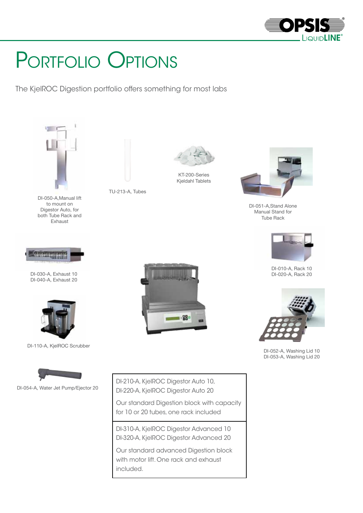

### Portfolio Options

The KjelROC Digestion portfolio offers something for most labs



DI-310-A, KjelROC Digestor Advanced 10 DI-320-A, KjelROC Digestor Advanced 20

Our standard advanced Digestion block with motor lift. One rack and exhaust included.



DI-051-A,Stand Alone Manual Stand for Tube Rack



DI-010-A, Rack 10



DI-052-A, Washing Lid 10 DI-053-A, Washing Lid 20